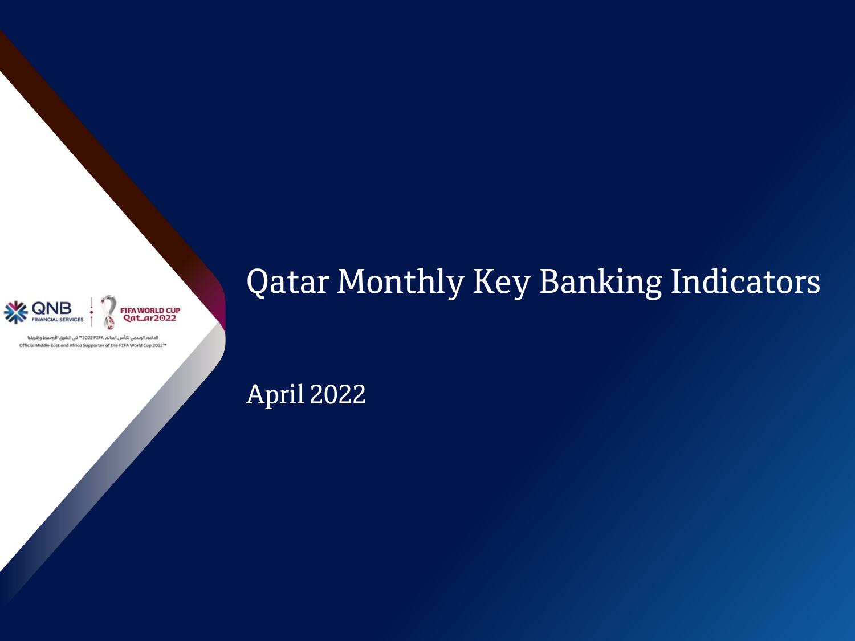



الداعم الرسمي لكأس العالم 2022 FIFA" في الشرق الأوسط وإفريقيا Official Middle East and Africa Supporter of the FIFA World Cup 2022<sup>-\*</sup>

# Qatar Monthly Key Banking Indicators

April 2022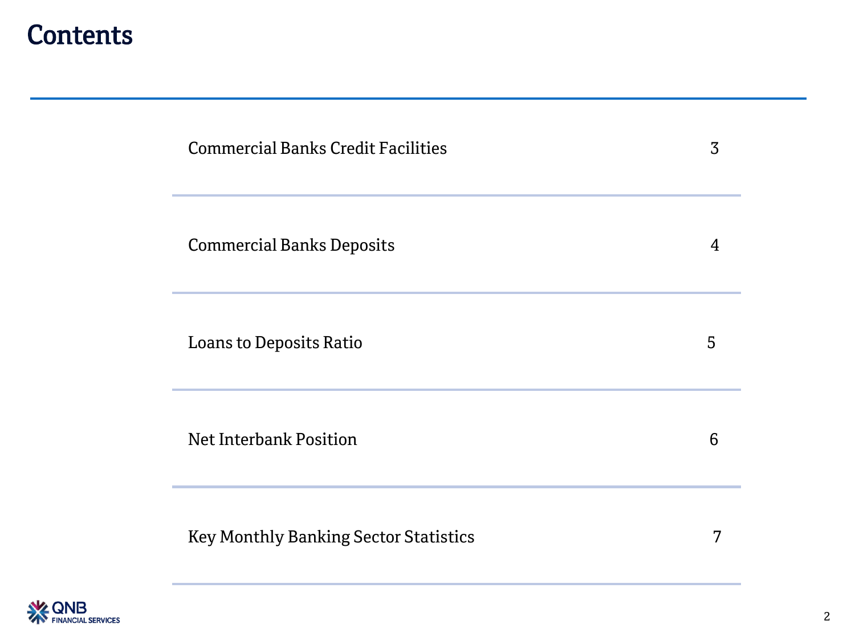### **Contents**

| <b>Commercial Banks Credit Facilities</b>    | 3              |
|----------------------------------------------|----------------|
| <b>Commercial Banks Deposits</b>             | $\overline{4}$ |
| <b>Loans to Deposits Ratio</b>               | 5              |
| Net Interbank Position                       | 6              |
| <b>Key Monthly Banking Sector Statistics</b> | 7              |

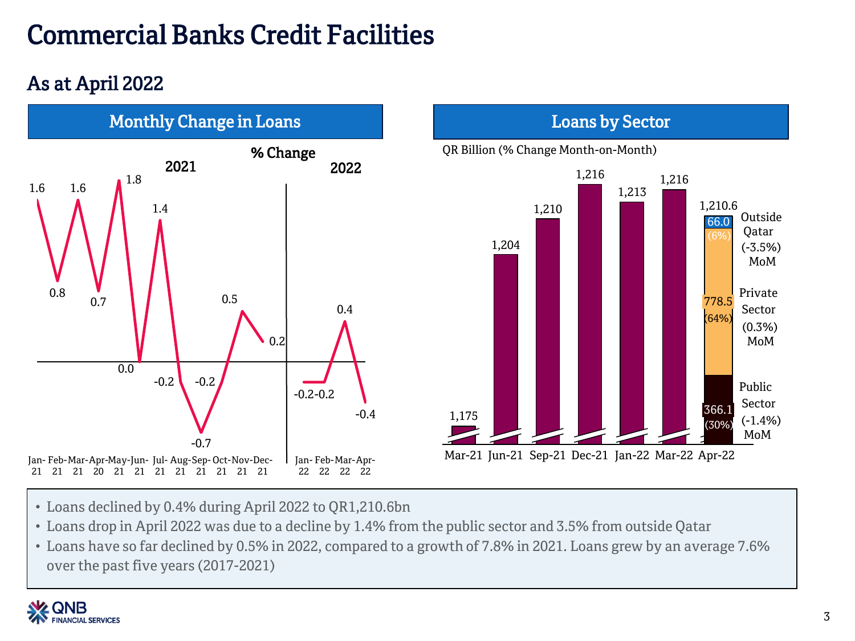# Commercial Banks Credit Facilities

### As at April 2022





- Loans declined by 0.4% during April 2022 to QR1,210.6bn
- Loans drop in April 2022 was due to a decline by 1.4% from the public sector and 3.5% from outside Qatar
- Loans have so far declined by 0.5% in 2022, compared to a growth of 7.8% in 2021. Loans grew by an average 7.6% over the past five years (2017-2021)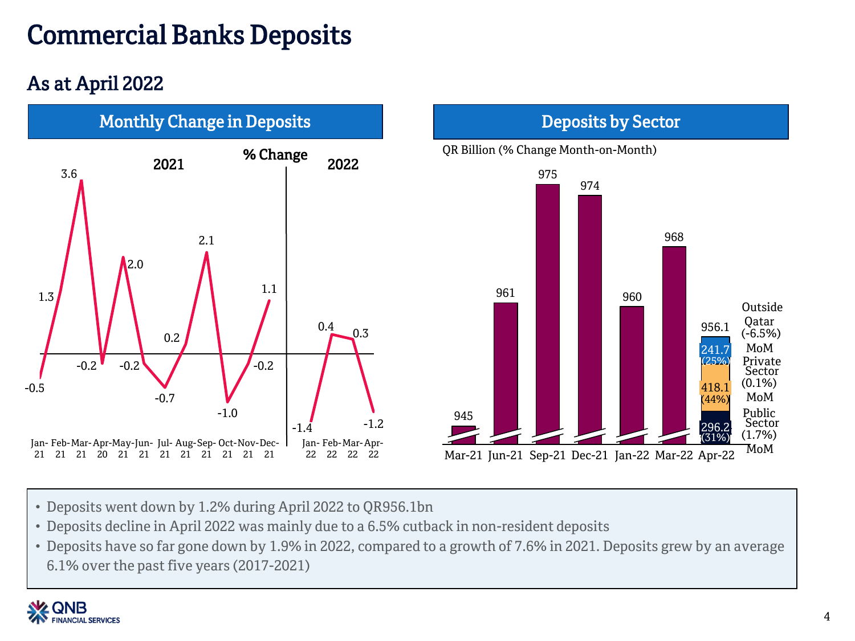## Commercial Banks Deposits

### As at April 2022



- Deposits went down by 1.2% during April 2022 to QR956.1bn
- Deposits decline in April 2022 was mainly due to a 6.5% cutback in non-resident deposits
- Deposits have so far gone down by 1.9% in 2022, compared to a growth of 7.6% in 2021. Deposits grew by an average 6.1% over the past five years (2017-2021)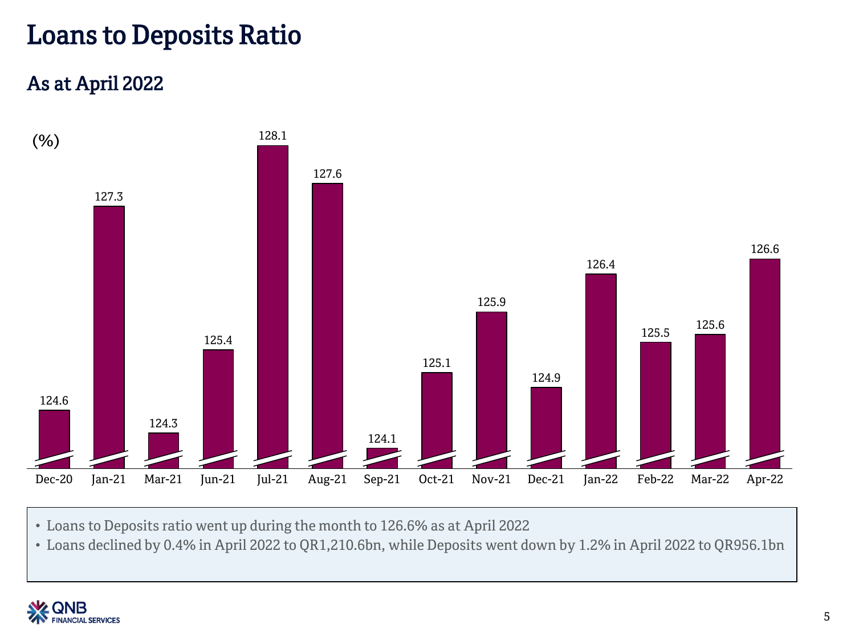### Loans to Deposits Ratio

#### As at April 2022



• Loans to Deposits ratio went up during the month to 126.6% as at April 2022

• Loans declined by 0.4% in April 2022 to QR1,210.6bn, while Deposits went down by 1.2% in April 2022 to QR956.1bn

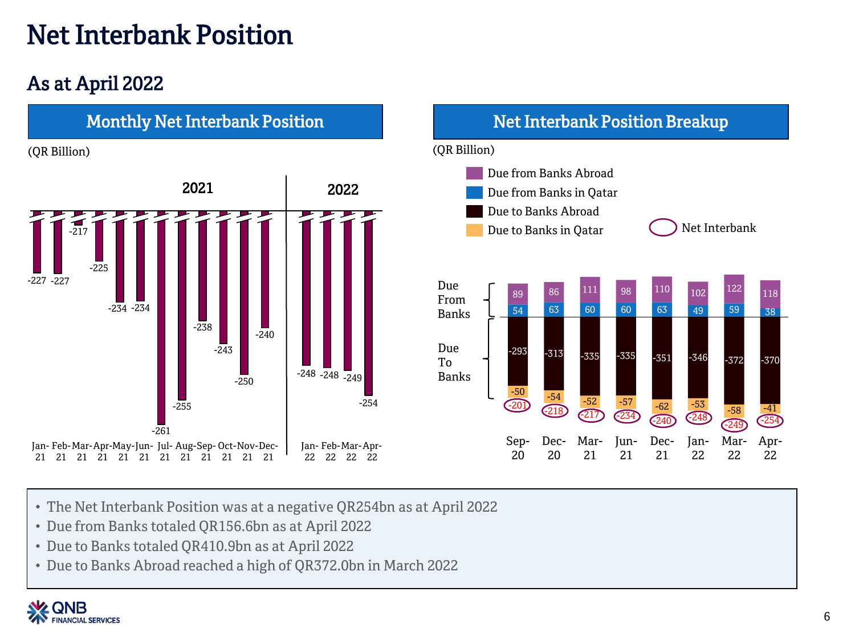## Net Interbank Position

### As at April 2022



- The Net Interbank Position was at a negative QR254bn as at April 2022
- Due from Banks totaled QR156.6bn as at April 2022
- Due to Banks totaled QR410.9bn as at April 2022
- Due to Banks Abroad reached a high of QR372.0bn in March 2022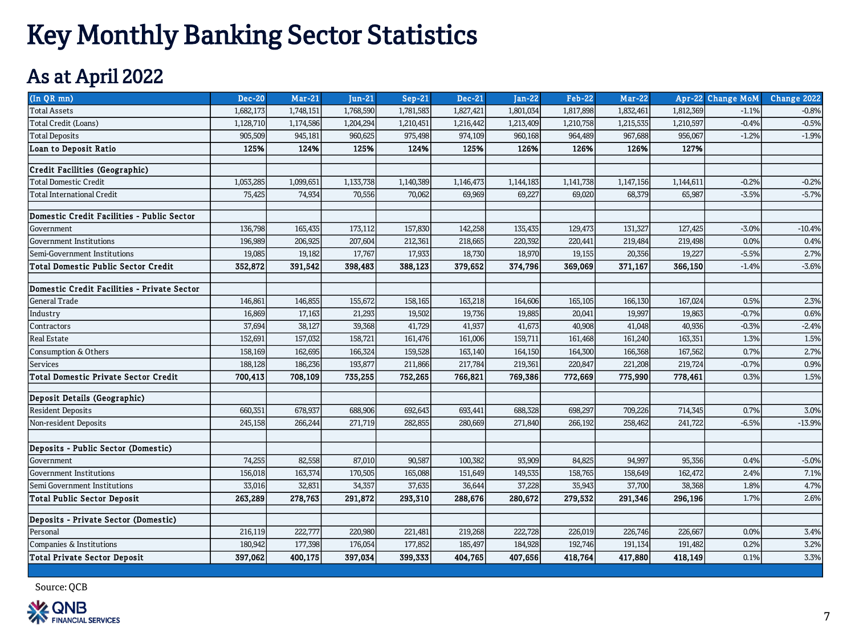## Key Monthly Banking Sector Statistics

#### As at April 2022

| (In QR mn)                                  | <b>Dec-20</b>     | $Mar-21$           | $Jun-21$           | $Sep-21$           | <b>Dec-21</b>     | $Jan-22$           | <b>Feb-22</b>     | <b>Mar-22</b>      |                   | Apr-22 Change MoM | Change 2022      |
|---------------------------------------------|-------------------|--------------------|--------------------|--------------------|-------------------|--------------------|-------------------|--------------------|-------------------|-------------------|------------------|
| <b>Total Assets</b>                         | 1,682,173         | 1,748,151          | 1,768,590          | 1,781,583          | 1,827,421         | 1,801,034          | 1,817,898         | 1,832,461          | 1,812,369         | $-1.1%$           | $-0.8%$          |
| Total Credit (Loans)                        | 1,128,710         | 1,174,586          | 1,204,294          | 1,210,451          | 1,216,442         | 1,213,409          | 1,210,758         | 1,215,535          | 1,210,597         | $-0.4%$           | $-0.5%$          |
| <b>Total Deposits</b>                       | 905,509           | 945,181            | 960,625            | 975,498            | 974,109           | 960,168            | 964,489           | 967,688            | 956,067           | $-1.2%$           | $-1.9%$          |
| <b>Loan to Deposit Ratio</b>                | 125%              | 124%               | 125%               | 124%               | 125%              | 126%               | 126%              | 126%               | 127%              |                   |                  |
| Credit Facilities (Geographic)              |                   |                    |                    |                    |                   |                    |                   |                    |                   |                   |                  |
| <b>Total Domestic Credit</b>                | 1,053,285         | 1,099,651          | 1,133,738          | 1,140,389          | 1,146,473         | 1,144,183          | 1,141,738         | 1,147,156          | 1,144,611         | $-0.2%$           | $-0.2%$          |
| <b>Total International Credit</b>           | 75,425            | 74,934             | 70,556             | 70,062             | 69,969            | 69,227             | 69,020            | 68,379             | 65,987            | $-3.5%$           | $-5.7%$          |
| Domestic Credit Facilities - Public Sector  |                   |                    |                    |                    |                   |                    |                   |                    |                   |                   |                  |
|                                             |                   |                    |                    |                    |                   |                    |                   |                    |                   |                   |                  |
| Government<br>Government Institutions       | 136,798           | 165,435<br>206,925 | 173,112<br>207,604 | 157,830<br>212,361 | 142,258           | 135,435<br>220,392 | 129,473           | 131,327<br>219,484 | 127,425           | $-3.0%$<br>0.0%   | $-10.4%$<br>0.4% |
| Semi-Government Institutions                | 196,989<br>19,085 | 19,182             | 17,767             | 17,933             | 218,665<br>18,730 | 18,970             | 220,441<br>19,155 | 20,356             | 219,498<br>19,227 | $-5.5%$           | 2.7%             |
| <b>Total Domestic Public Sector Credit</b>  | 352,872           |                    | 398,483            | 388,123            | 379,652           | 374,796            | 369,069           |                    | 366,150           | $-1.4%$           | $-3.6%$          |
|                                             |                   | 391,542            |                    |                    |                   |                    |                   | 371,167            |                   |                   |                  |
| Domestic Credit Facilities - Private Sector |                   |                    |                    |                    |                   |                    |                   |                    |                   |                   |                  |
| General Trade                               | 146,861           | 146,855            | 155,672            | 158,165            | 163,218           | 164,606            | 165,105           | 166,130            | 167,024           | 0.5%              | 2.3%             |
| Industry                                    | 16,869            | 17,163             | 21,293             | 19,502             | 19,736            | 19,885             | 20,041            | 19,997             | 19,863            | $-0.7%$           | 0.6%             |
| Contractors                                 | 37,694            | 38,127             | 39,368             | 41,729             | 41,937            | 41,673             | 40,908            | 41,048             | 40,936            | $-0.3%$           | $-2.4%$          |
| <b>Real Estate</b>                          | 152,691           | 157,032            | 158,721            | 161,476            | 161,006           | 159,711            | 161,468           | 161,240            | 163,351           | 1.3%              | 1.5%             |
| <b>Consumption &amp; Others</b>             | 158,169           | 162,695            | 166,324            | 159,528            | 163,140           | 164,150            | 164,300           | 166,368            | 167,562           | 0.7%              | 2.7%             |
| Services                                    | 188,128           | 186,236            | 193,877            | 211,866            | 217,784           | 219,361            | 220,847           | 221,208            | 219,724           | $-0.7%$           | 0.9%             |
| <b>Total Domestic Private Sector Credit</b> | 700,413           | 708,109            | 735,255            | 752,265            | 766,821           | 769,386            | 772,669           | 775,990            | 778,461           | 0.3%              | 1.5%             |
| Deposit Details (Geographic)                |                   |                    |                    |                    |                   |                    |                   |                    |                   |                   |                  |
| <b>Resident Deposits</b>                    | 660,351           | 678,937            | 688,906            | 692,643            | 693,441           | 688,328            | 698,297           | 709,226            | 714,345           | 0.7%              | 3.0%             |
| Non-resident Deposits                       | 245,158           | 266,244            | 271,719            | 282,855            | 280,669           | 271,840            | 266,192           | 258,462            | 241,722           | $-6.5%$           | $-13.9%$         |
|                                             |                   |                    |                    |                    |                   |                    |                   |                    |                   |                   |                  |
| Deposits - Public Sector (Domestic)         |                   |                    |                    |                    |                   |                    |                   |                    |                   |                   |                  |
| Government                                  | 74,255            | 82,558             | 87,010             | 90,587             | 100,382           | 93,909             | 84,825            | 94,997             | 95,356            | 0.4%              | $-5.0%$          |
| <b>Government Institutions</b>              | 156,018           | 163,374            | 170,505            | 165,088            | 151,649           | 149,535            | 158,765           | 158,649            | 162,472           | 2.4%              | 7.1%             |
| Semi Government Institutions                | 33,016            | 32,831             | 34,357             | 37,635             | 36,644            | 37,228             | 35,943            | 37,700             | 38,368            | 1.8%              | 4.7%             |
| Total Public Sector Deposit                 | 263,289           | 278,763            | 291,872            | 293,310            | 288,676           | 280,672            | 279,532           | 291,346            | 296,196           | 1.7%              | 2.6%             |
| Deposits - Private Sector (Domestic)        |                   |                    |                    |                    |                   |                    |                   |                    |                   |                   |                  |
| Personal                                    | 216,119           | 222,777            | 220,980            | 221,481            | 219,268           | 222,728            | 226,019           | 226,746            | 226,667           | 0.0%              | 3.4%             |
| Companies & Institutions                    | 180,942           | 177,398            | 176,054            | 177,852            | 185,497           | 184,928            | 192,746           | 191,134            | 191,482           | 0.2%              | 3.2%             |
| Total Private Sector Deposit                | 397,062           | 400,175            | 397,034            | 399,333            | 404,765           | 407,656            | 418,764           | 417,880            | 418,149           | 0.1%              | 3.3%             |
|                                             |                   |                    |                    |                    |                   |                    |                   |                    |                   |                   |                  |

Source: QCB